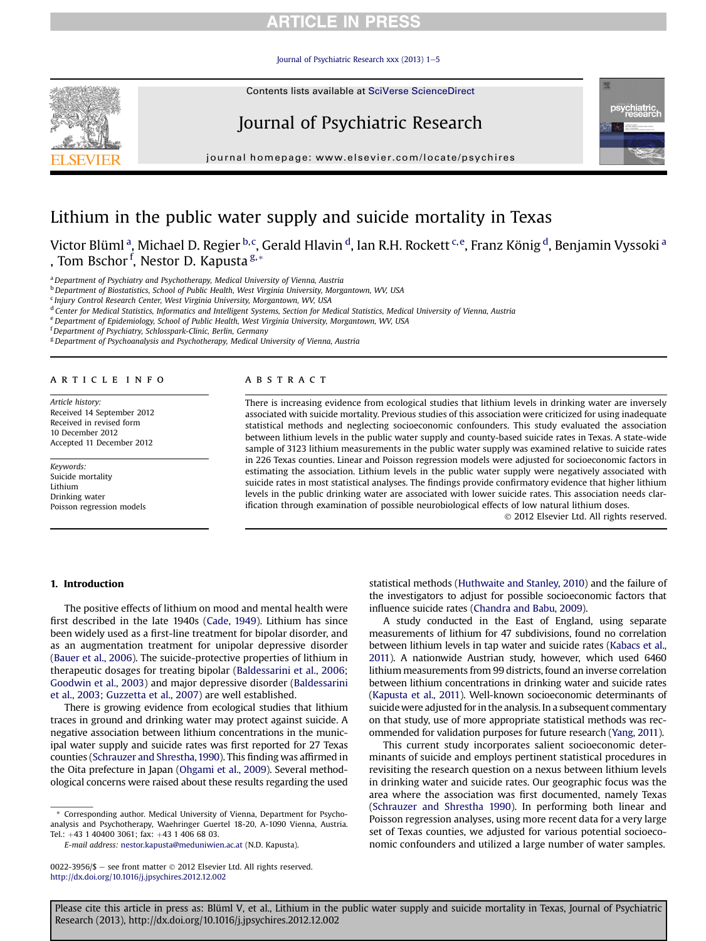## **ARTICLE IN PRESS**

Journal of Psychiatric Research xxx (2013)  $1-5$  $1-5$ 

Contents lists available at SciVerse ScienceDirect

# Journal of Psychiatric Research

 $j<sub>i</sub>$  is a homepage: where  $i<sub>i</sub>$  is a company company

# Lithium in the public water supply and suicide mortality in Texas

Victor Blüml <sup>a</sup>, Michael D. Regier <sup>b,c</sup>, Gerald Hlavin <sup>d</sup>, Ian R.H. Rockett <sup>c,e</sup>, Franz König <sup>d</sup>, Benjamin Vyssoki <sup>a</sup> , Tom Bschor <sup>f</sup>, Nestor D. Kapusta <sup>g, \*</sup>

a Department of Psychiatry and Psychotherapy, Medical University of Vienna, Austria

<sup>b</sup> Department of Biostatistics, School of Public Health, West Virginia University, Morgantown, WV, USA

<sup>c</sup> Injury Control Research Center, West Virginia University, Morgantown, WV, USA

<sup>d</sup> Center for Medical Statistics, Informatics and Intelligent Systems, Section for Medical Statistics, Medical University of Vienna, Austria

e Department of Epidemiology, School of Public Health, West Virginia University, Morgantown, WV, USA

<sup>f</sup> Department of Psychiatry, Schlosspark-Clinic, Berlin, Germany

<sup>g</sup> Department of Psychoanalysis and Psychotherapy, Medical University of Vienna, Austria

### article info

Article history: Received 14 September 2012 Received in revised form 10 December 2012 Accepted 11 December 2012

Keywords: Suicide mortality Lithium Drinking water Poisson regression models

### ABSTRACT

There is increasing evidence from ecological studies that lithium levels in drinking water are inversely associated with suicide mortality. Previous studies of this association were criticized for using inadequate statistical methods and neglecting socioeconomic confounders. This study evaluated the association between lithium levels in the public water supply and county-based suicide rates in Texas. A state-wide sample of 3123 lithium measurements in the public water supply was examined relative to suicide rates in 226 Texas counties. Linear and Poisson regression models were adjusted for socioeconomic factors in estimating the association. Lithium levels in the public water supply were negatively associated with suicide rates in most statistical analyses. The findings provide confirmatory evidence that higher lithium levels in the public drinking water are associated with lower suicide rates. This association needs clarification through examination of possible neurobiological effects of low natural lithium doses.

2012 Elsevier Ltd. All rights reserved.

### 1. Introduction

The positive effects of lithium on mood and mental health were first described in the late 1940s ([Cade, 1949](#page-4-0)). Lithium has since been widely used as a first-line treatment for bipolar disorder, and as an augmentation treatment for unipolar depressive disorder ([Bauer et al., 2006](#page-4-0)). The suicide-protective properties of lithium in therapeutic dosages for treating bipolar ([Baldessarini et al., 2006;](#page-4-0) [Goodwin et al., 2003\)](#page-4-0) and major depressive disorder [\(Baldessarini](#page-4-0) [et al., 2003](#page-4-0); [Guzzetta et al., 2007\)](#page-4-0) are well established.

There is growing evidence from ecological studies that lithium traces in ground and drinking water may protect against suicide. A negative association between lithium concentrations in the municipal water supply and suicide rates was first reported for 27 Texas counties [\(Schrauzer and Shrestha, 1990](#page-4-0)). This finding was affirmed in the Oita prefecture in Japan ([Ohgami et al., 2009\)](#page-4-0). Several methodological concerns were raised about these results regarding the used

\* Corresponding author. Medical University of Vienna, Department for Psychoanalysis and Psychotherapy, Waehringer Guertel 18-20, A-1090 Vienna, Austria. Tel.: +43 1 40400 3061; fax: +43 1 406 68 03.

statistical methods ([Huthwaite and Stanley, 2010](#page-4-0)) and the failure of the investigators to adjust for possible socioeconomic factors that influence suicide rates ([Chandra and Babu, 2009](#page-4-0)).

A study conducted in the East of England, using separate measurements of lithium for 47 subdivisions, found no correlation between lithium levels in tap water and suicide rates ([Kabacs et al.,](#page-4-0) [2011\)](#page-4-0). A nationwide Austrian study, however, which used 6460 lithium measurements from 99 districts, found an inverse correlation between lithium concentrations in drinking water and suicide rates [\(Kapusta et al., 2011](#page-4-0)). Well-known socioeconomic determinants of suicide were adjusted for in the analysis. In a subsequent commentary on that study, use of more appropriate statistical methods was recommended for validation purposes for future research [\(Yang, 2011\)](#page-4-0).

This current study incorporates salient socioeconomic determinants of suicide and employs pertinent statistical procedures in revisiting the research question on a nexus between lithium levels in drinking water and suicide rates. Our geographic focus was the area where the association was first documented, namely Texas ([Schrauzer and Shrestha 1990](#page-4-0)). In performing both linear and Poisson regression analyses, using more recent data for a very large set of Texas counties, we adjusted for various potential socioeconomic confounders and utilized a large number of water samples.

Please cite this article in press as: Blüml V, et al., Lithium in the public water supply and suicide mortality in Texas, Journal of Psychiatric Research (2013), http://dx.doi.org/10.1016/j.jpsychires.2012.12.002





E-mail address: [nestor.kapusta@meduniwien.ac.at](mailto:nestor.kapusta@meduniwien.ac.at) (N.D. Kapusta).

<sup>0022-3956/\$ -</sup> see front matter  $\odot$  2012 Elsevier Ltd. All rights reserved. <http://dx.doi.org/10.1016/j.jpsychires.2012.12.002>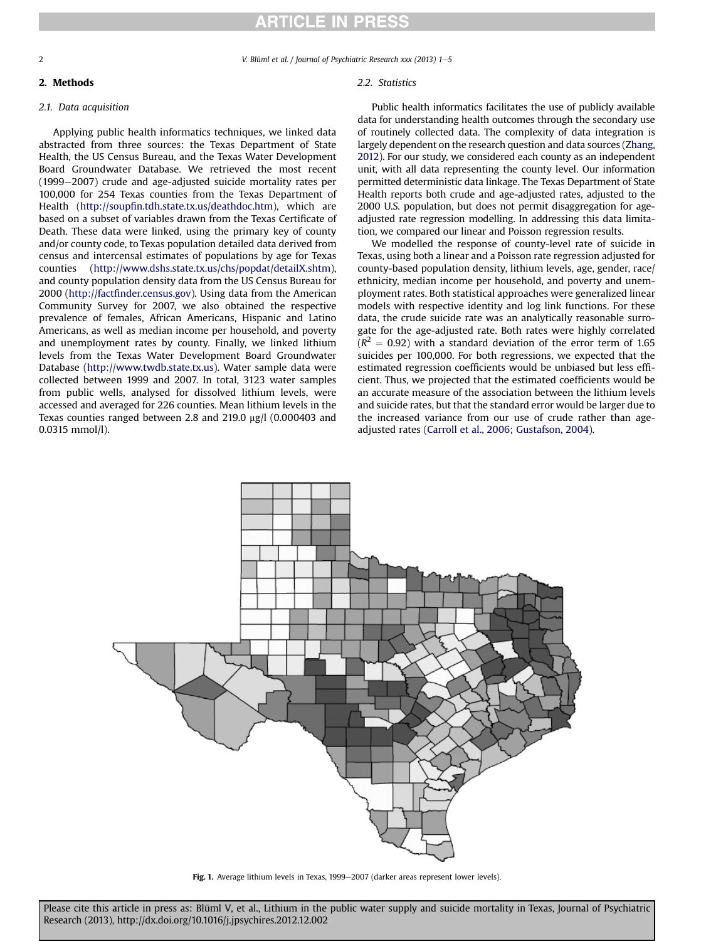<span id="page-1-0"></span>2 V. Blüml et al. / Journal of Psychiatric Research xxx (2013) 1–5

2. Methods

## 2.1. Data acquisition

Applying public health informatics techniques, we linked data abstracted from three sources: the Texas Department of State Health, the US Census Bureau, and the Texas Water Development Board Groundwater Database. We retrieved the most recent  $(1999-2007)$  crude and age-adjusted suicide mortality rates per 100,000 for 254 Texas counties from the Texas Department of Health (http://soupfi[n.tdh.state.tx.us/deathdoc.htm](http://soupfin.tdh.state.tx.us/deathdoc.htm)), which are based on a subset of variables drawn from the Texas Certificate of Death. These data were linked, using the primary key of county and/or county code, to Texas population detailed data derived from census and intercensal estimates of populations by age for Texas counties ([http://www.dshs.state.tx.us/chs/popdat/detailX.shtm\)](http://www.dshs.state.tx.us/chs/popdat/detailX.shtm), and county population density data from the US Census Bureau for 2000 (http://factfi[nder.census.gov](http://factfinder.census.gov)). Using data from the American Community Survey for 2007, we also obtained the respective prevalence of females, African Americans, Hispanic and Latino Americans, as well as median income per household, and poverty and unemployment rates by county. Finally, we linked lithium levels from the Texas Water Development Board Groundwater Database [\(http://www.twdb.state.tx.us](http://www.twdb.state.tx.us)). Water sample data were collected between 1999 and 2007. In total, 3123 water samples from public wells, analysed for dissolved lithium levels, were accessed and averaged for 226 counties. Mean lithium levels in the Texas counties ranged between 2.8 and 219.0  $\mu$ g/l (0.000403 and 0.0315 mmol/l).

## 2.2. Statistics

Public health informatics facilitates the use of publicly available data for understanding health outcomes through the secondary use of routinely collected data. The complexity of data integration is largely dependent on the research question and data sources [\(Zhang,](#page-4-0) [2012\)](#page-4-0). For our study, we considered each county as an independent unit, with all data representing the county level. Our information permitted deterministic data linkage. The Texas Department of State Health reports both crude and age-adjusted rates, adjusted to the 2000 U.S. population, but does not permit disaggregation for ageadjusted rate regression modelling. In addressing this data limitation, we compared our linear and Poisson regression results.

We modelled the response of county-level rate of suicide in Texas, using both a linear and a Poisson rate regression adjusted for county-based population density, lithium levels, age, gender, race/ ethnicity, median income per household, and poverty and unemployment rates. Both statistical approaches were generalized linear models with respective identity and log link functions. For these data, the crude suicide rate was an analytically reasonable surrogate for the age-adjusted rate. Both rates were highly correlated  $(R<sup>2</sup> = 0.92)$  with a standard deviation of the error term of 1.65 suicides per 100,000. For both regressions, we expected that the estimated regression coefficients would be unbiased but less efficient. Thus, we projected that the estimated coefficients would be an accurate measure of the association between the lithium levels and suicide rates, but that the standard error would be larger due to the increased variance from our use of crude rather than ageadjusted rates ([Carroll et al., 2006](#page-4-0); [Gustafson, 2004\)](#page-4-0).



Fig. 1. Average lithium levels in Texas, 1999-2007 (darker areas represent lower levels).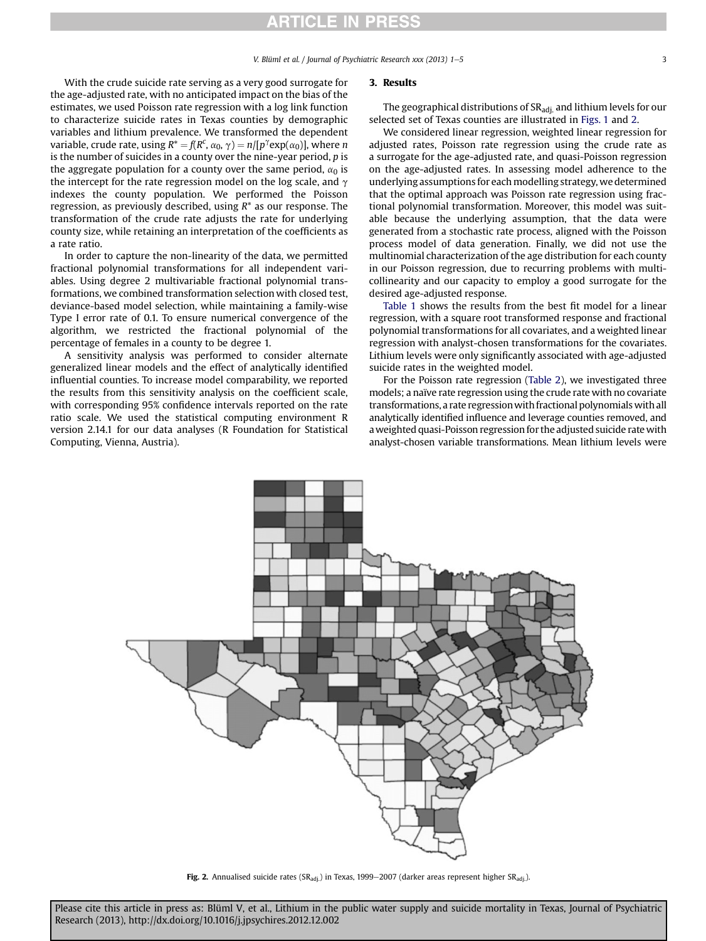## **ARTICLE IN PRESS**

With the crude suicide rate serving as a very good surrogate for the age-adjusted rate, with no anticipated impact on the bias of the estimates, we used Poisson rate regression with a log link function to characterize suicide rates in Texas counties by demographic variables and lithium prevalence. We transformed the dependent variable, crude rate, using  $R^* = f(R^c, \alpha_0, \gamma) = n/[p^{\gamma} \exp(\alpha_0)]$ , where n<br>is the number of suicides in a county over the nine-year period, n is is the number of suicides in a county over the nine-year period, p is the aggregate population for a county over the same period,  $\alpha_0$  is the intercept for the rate regression model on the log scale, and  $\gamma$ indexes the county population. We performed the Poisson regression, as previously described, using  $R^*$  as our response. The transformation of the crude rate adjusts the rate for underlying county size, while retaining an interpretation of the coefficients as a rate ratio.

In order to capture the non-linearity of the data, we permitted fractional polynomial transformations for all independent variables. Using degree 2 multivariable fractional polynomial transformations, we combined transformation selection with closed test, deviance-based model selection, while maintaining a family-wise Type I error rate of 0.1. To ensure numerical convergence of the algorithm, we restricted the fractional polynomial of the percentage of females in a county to be degree 1.

A sensitivity analysis was performed to consider alternate generalized linear models and the effect of analytically identified influential counties. To increase model comparability, we reported the results from this sensitivity analysis on the coefficient scale, with corresponding 95% confidence intervals reported on the rate ratio scale. We used the statistical computing environment R version 2.14.1 for our data analyses (R Foundation for Statistical Computing, Vienna, Austria).

#### 3. Results

The geographical distributions of SR<sub>adi</sub> and lithium levels for our selected set of Texas counties are illustrated in [Figs. 1](#page-1-0) and 2.

We considered linear regression, weighted linear regression for adjusted rates, Poisson rate regression using the crude rate as a surrogate for the age-adjusted rate, and quasi-Poisson regression on the age-adjusted rates. In assessing model adherence to the underlying assumptions for each modelling strategy, we determined that the optimal approach was Poisson rate regression using fractional polynomial transformation. Moreover, this model was suitable because the underlying assumption, that the data were generated from a stochastic rate process, aligned with the Poisson process model of data generation. Finally, we did not use the multinomial characterization of the age distribution for each county in our Poisson regression, due to recurring problems with multicollinearity and our capacity to employ a good surrogate for the desired age-adjusted response.

[Table 1](#page-3-0) shows the results from the best fit model for a linear regression, with a square root transformed response and fractional polynomial transformations for all covariates, and a weighted linear regression with analyst-chosen transformations for the covariates. Lithium levels were only significantly associated with age-adjusted suicide rates in the weighted model.

For the Poisson rate regression [\(Table 2](#page-3-0)), we investigated three models; a naïve rate regression using the crude rate with no covariate transformations, a rate regressionwith fractional polynomialswith all analytically identified influence and leverage counties removed, and aweighted quasi-Poisson regression for the adjusted suicide rate with analyst-chosen variable transformations. Mean lithium levels were



Fig. 2. Annualised suicide rates ( $SR_{\text{adj}}$ ) in Texas, 1999–2007 (darker areas represent higher  $SR_{\text{adj}}$ ).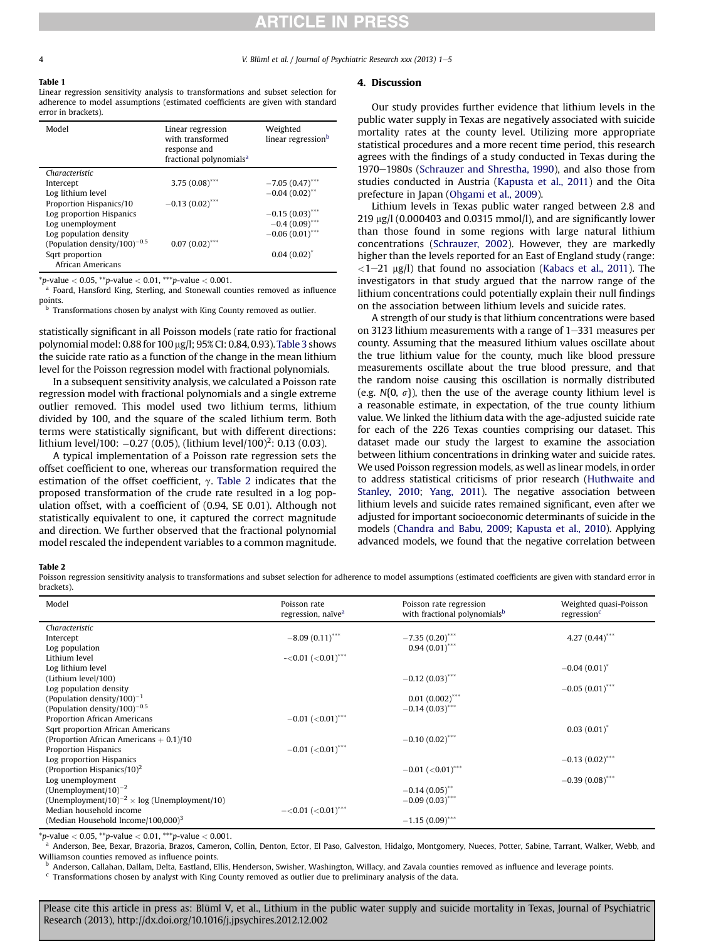## **RTICLE IN PRESS**

#### <span id="page-3-0"></span>Table 1

Linear regression sensitivity analysis to transformations and subset selection for adherence to model assumptions (estimated coefficients are given with standard error in brackets).

| Model                                    | Linear regression<br>with transformed<br>response and<br>fractional polynomials <sup>a</sup> | Weighted<br>linear regression <sup>b</sup> |
|------------------------------------------|----------------------------------------------------------------------------------------------|--------------------------------------------|
| Characteristic                           |                                                                                              |                                            |
| Intercept                                | 3.75 $(0.08)$ ***                                                                            | $-7.05(0.47)$ ***                          |
| Log lithium level                        |                                                                                              | $-0.04(0.02)$ **                           |
| Proportion Hispanics/10                  | $-0.13(0.02)$ <sup>***</sup>                                                                 |                                            |
| Log proportion Hispanics                 |                                                                                              | $-0.15(0.03)$ ***                          |
| Log unemployment                         |                                                                                              | $-0.4(0.09)$ ***                           |
| Log population density                   |                                                                                              | $-0.06(0.01)$ ***                          |
| (Population density/100) <sup>-0.5</sup> | $0.07(0.02)$ ***                                                                             |                                            |
| Sqrt proportion                          |                                                                                              | $0.04(0.02)^{*}$                           |
| African Americans                        |                                                                                              |                                            |

\*p-value  $< 0.05$ , \*\*p-value  $< 0.01$ , \*\*\*p-value  $< 0.001$ .

<sup>a</sup> Foard, Hansford King, Sterling, and Stonewall counties removed as influence points.

b Transformations chosen by analyst with King County removed as outlier.

statistically significant in all Poisson models (rate ratio for fractional polynomial model: 0.88 for 100 mg/l; 95% CI: 0.84, 0.93). [Table 3](#page-4-0) shows the suicide rate ratio as a function of the change in the mean lithium level for the Poisson regression model with fractional polynomials.

In a subsequent sensitivity analysis, we calculated a Poisson rate regression model with fractional polynomials and a single extreme outlier removed. This model used two lithium terms, lithium divided by 100, and the square of the scaled lithium term. Both terms were statistically significant, but with different directions: lithium level/100:  $-0.27$  (0.05), (lithium level/100)<sup>2</sup>: 0.13 (0.03).

A typical implementation of a Poisson rate regression sets the offset coefficient to one, whereas our transformation required the estimation of the offset coefficient,  $\gamma$ . Table 2 indicates that the proposed transformation of the crude rate resulted in a log population offset, with a coefficient of (0.94, SE 0.01). Although not statistically equivalent to one, it captured the correct magnitude and direction. We further observed that the fractional polynomial model rescaled the independent variables to a common magnitude.

#### 4. Discussion

Our study provides further evidence that lithium levels in the public water supply in Texas are negatively associated with suicide mortality rates at the county level. Utilizing more appropriate statistical procedures and a more recent time period, this research agrees with the findings of a study conducted in Texas during the 1970–1980s [\(Schrauzer and Shrestha, 1990\)](#page-4-0), and also those from studies conducted in Austria ([Kapusta et al., 2011\)](#page-4-0) and the Oita prefecture in Japan [\(Ohgami et al., 2009](#page-4-0)).

Lithium levels in Texas public water ranged between 2.8 and  $219 \mu g/l$  (0.000403 and 0.0315 mmol/l), and are significantly lower than those found in some regions with large natural lithium concentrations ([Schrauzer, 2002\)](#page-4-0). However, they are markedly higher than the levels reported for an East of England study (range:  $\langle 1-21 \text{ µg/l} \rangle$  that found no association [\(Kabacs et al., 2011\)](#page-4-0). The investigators in that study argued that the narrow range of the lithium concentrations could potentially explain their null findings on the association between lithium levels and suicide rates.

A strength of our study is that lithium concentrations were based on 3123 lithium measurements with a range of  $1-331$  measures per county. Assuming that the measured lithium values oscillate about the true lithium value for the county, much like blood pressure measurements oscillate about the true blood pressure, and that the random noise causing this oscillation is normally distributed (e.g.  $N\{0, \sigma\}$ ), then the use of the average county lithium level is a reasonable estimate, in expectation, of the true county lithium value. We linked the lithium data with the age-adjusted suicide rate for each of the 226 Texas counties comprising our dataset. This dataset made our study the largest to examine the association between lithium concentrations in drinking water and suicide rates. We used Poisson regression models, as well as linear models, in order to address statistical criticisms of prior research ([Huthwaite and](#page-4-0) [Stanley, 2010](#page-4-0); [Yang, 2011](#page-4-0)). The negative association between lithium levels and suicide rates remained significant, even after we adjusted for important socioeconomic determinants of suicide in the models [\(Chandra and Babu, 2009;](#page-4-0) [Kapusta et al., 2010](#page-4-0)). Applying advanced models, we found that the negative correlation between

#### Table 2

Poisson regression sensitivity analysis to transformations and subset selection for adherence to model assumptions (estimated coefficients are given with standard error in brackets).

| Model                                                          | Poisson rate                         | Poisson rate regression<br>with fractional polynomials <sup>b</sup> | Weighted quasi-Poisson<br>regression <sup>c</sup> |
|----------------------------------------------------------------|--------------------------------------|---------------------------------------------------------------------|---------------------------------------------------|
|                                                                | regression, naïve <sup>a</sup>       |                                                                     |                                                   |
| Characteristic                                                 |                                      |                                                                     |                                                   |
| Intercept                                                      | $-8.09(0.11)$ ***                    | $-7.35(0.20)$ ***                                                   | 4.27 $(0.44)$ ***                                 |
| Log population                                                 |                                      | $0.94(0.01)$ ***                                                    |                                                   |
| Lithium level                                                  | $-<0.01$ ( $< 0.01$ ) <sup>***</sup> |                                                                     |                                                   |
| Log lithium level                                              |                                      |                                                                     | $-0.04(0.01)^{*}$                                 |
| (Lithium level/100)                                            |                                      | $-0.12(0.03)$ ***                                                   |                                                   |
| Log population density                                         |                                      |                                                                     | $-0.05(0.01)$ ***                                 |
| (Population density/100) <sup>-1</sup>                         |                                      | $0.01(0.002)$ ***                                                   |                                                   |
| (Population density/100) <sup>-0.5</sup>                       |                                      | $-0.14(0.03)$ ***                                                   |                                                   |
| Proportion African Americans                                   | $-0.01$ (<0.01) <sup>***</sup>       |                                                                     |                                                   |
| Sqrt proportion African Americans                              |                                      |                                                                     | $0.03(0.01)^{*}$                                  |
| (Proportion African Americans $+$ 0.1)/10                      |                                      | $-0.10(0.02)$ ***                                                   |                                                   |
| Proportion Hispanics                                           | $-0.01$ (<0.01) <sup>***</sup>       |                                                                     |                                                   |
| Log proportion Hispanics                                       |                                      |                                                                     | $-0.13(0.02)$ ***                                 |
| (Proportion Hispanics/10) <sup>2</sup>                         |                                      | $-0.01$ ( $< 0.01$ ) <sup>***</sup>                                 |                                                   |
| Log unemployment                                               |                                      |                                                                     | $-0.39(0.08)$ ***                                 |
| (Unemployment/10) <sup>-2</sup>                                |                                      | $-0.14(0.05)$ **                                                    |                                                   |
| (Unemployment/10) <sup>-2</sup> $\times$ log (Unemployment/10) |                                      | $-0.09(0.03)$ ***                                                   |                                                   |
| Median household income                                        | $-<0.01$ ( $< 0.01$ ) <sup>***</sup> |                                                                     |                                                   |
| (Median Household Income/100,000) <sup>3</sup>                 |                                      | $-1.15(0.09)$ ***                                                   |                                                   |

 $*_{p}\text{-value} < 0.05$ ,  $*_{p}\text{-value} < 0.01$ ,  $*_{p}\text{-value} < 0.001$ .

a Anderson, Bee, Bexar, Brazoria, Brazos, Cameron, Collin, Denton, Ector, El Paso, Galveston, Hidalgo, Montgomery, Nueces, Potter, Sabine, Tarrant, Walker, Webb, and Williamson counties removed as influence points.

<sup>b</sup> Anderson, Callahan, Dallam, Delta, Eastland, Ellis, Henderson, Swisher, Washington, Willacy, and Zavala counties removed as influence and leverage points.  $\rm ^c$  Transformations chosen by analyst with King County removed as outlier due to preliminary analysis of the data.

Please cite this article in press as: Blüml V, et al., Lithium in the public water supply and suicide mortality in Texas, Journal of Psychiatric Research (2013), http://dx.doi.org/10.1016/j.jpsychires.2012.12.002